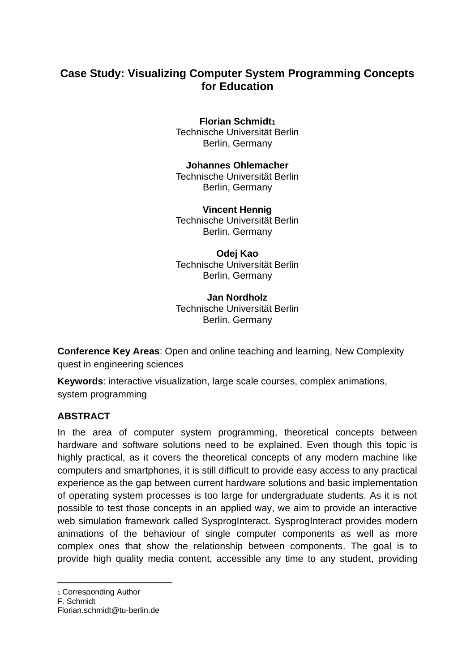# **Case Study: Visualizing Computer System Programming Concepts for Education**

#### **Florian Schmidt<sup>1</sup>** Technische Universität Berlin Berlin, Germany

#### **Johannes Ohlemacher**

Technische Universität Berlin Berlin, Germany

**Vincent Hennig** Technische Universität Berlin Berlin, Germany

**Odej Kao** Technische Universität Berlin Berlin, Germany

**Jan Nordholz** Technische Universität Berlin Berlin, Germany

**Conference Key Areas**: Open and online teaching and learning, New Complexity quest in engineering sciences

**Keywords**: interactive visualization, large scale courses, complex animations, system programming

#### **ABSTRACT**

In the area of computer system programming, theoretical concepts between hardware and software solutions need to be explained. Even though this topic is highly practical, as it covers the theoretical concepts of any modern machine like computers and smartphones, it is still difficult to provide easy access to any practical experience as the gap between current hardware solutions and basic implementation of operating system processes is too large for undergraduate students. As it is not possible to test those concepts in an applied way, we aim to provide an interactive web simulation framework called SysprogInteract. SysprogInteract provides modern animations of the behaviour of single computer components as well as more complex ones that show the relationship between components. The goal is to provide high quality media content, accessible any time to any student, providing

<sup>1</sup> Corresponding Author

F. Schmidt

Florian.schmidt@tu-berlin.de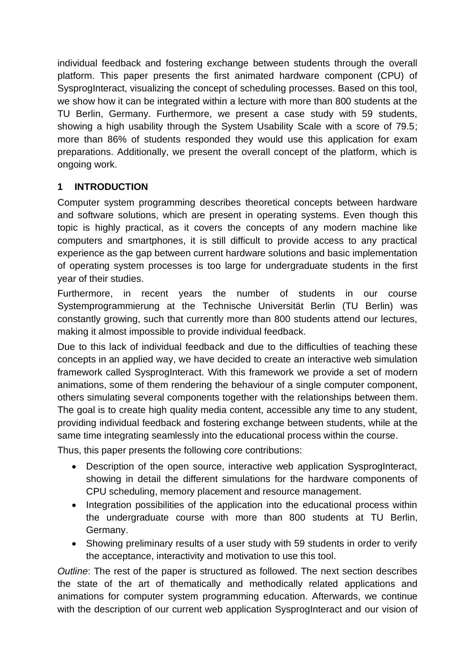individual feedback and fostering exchange between students through the overall platform. This paper presents the first animated hardware component (CPU) of SysprogInteract, visualizing the concept of scheduling processes. Based on this tool, we show how it can be integrated within a lecture with more than 800 students at the TU Berlin, Germany. Furthermore, we present a case study with 59 students, showing a high usability through the System Usability Scale with a score of 79.5; more than 86% of students responded they would use this application for exam preparations. Additionally, we present the overall concept of the platform, which is ongoing work.

## **1 INTRODUCTION**

Computer system programming describes theoretical concepts between hardware and software solutions, which are present in operating systems. Even though this topic is highly practical, as it covers the concepts of any modern machine like computers and smartphones, it is still difficult to provide access to any practical experience as the gap between current hardware solutions and basic implementation of operating system processes is too large for undergraduate students in the first year of their studies.

Furthermore, in recent years the number of students in our course Systemprogrammierung at the Technische Universität Berlin (TU Berlin) was constantly growing, such that currently more than 800 students attend our lectures, making it almost impossible to provide individual feedback.

Due to this lack of individual feedback and due to the difficulties of teaching these concepts in an applied way, we have decided to create an interactive web simulation framework called SysprogInteract. With this framework we provide a set of modern animations, some of them rendering the behaviour of a single computer component, others simulating several components together with the relationships between them. The goal is to create high quality media content, accessible any time to any student, providing individual feedback and fostering exchange between students, while at the same time integrating seamlessly into the educational process within the course.

Thus, this paper presents the following core contributions:

- Description of the open source, interactive web application SysprogInteract, showing in detail the different simulations for the hardware components of CPU scheduling, memory placement and resource management.
- Integration possibilities of the application into the educational process within the undergraduate course with more than 800 students at TU Berlin, Germany.
- Showing preliminary results of a user study with 59 students in order to verify the acceptance, interactivity and motivation to use this tool.

*Outline*: The rest of the paper is structured as followed. The next section describes the state of the art of thematically and methodically related applications and animations for computer system programming education. Afterwards, we continue with the description of our current web application SysprogInteract and our vision of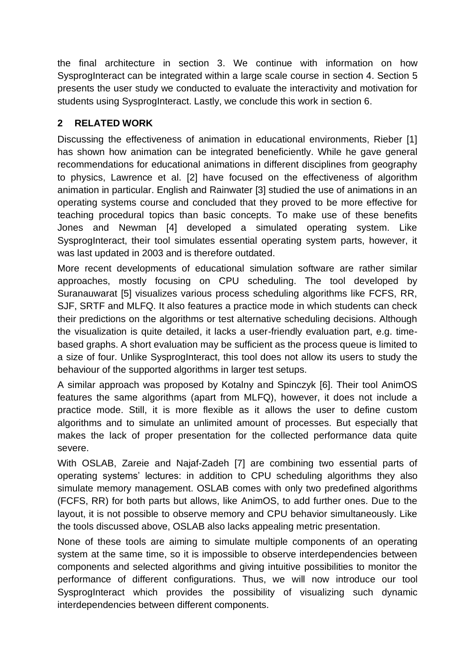the final architecture in section 3. We continue with information on how SysprogInteract can be integrated within a large scale course in section 4. Section 5 presents the user study we conducted to evaluate the interactivity and motivation for students using SysprogInteract. Lastly, we conclude this work in section 6.

# **2 RELATED WORK**

Discussing the effectiveness of animation in educational environments, Rieber [1] has shown how animation can be integrated beneficiently. While he gave general recommendations for educational animations in different disciplines from geography to physics, Lawrence et al. [2] have focused on the effectiveness of algorithm animation in particular. English and Rainwater [3] studied the use of animations in an operating systems course and concluded that they proved to be more effective for teaching procedural topics than basic concepts. To make use of these benefits Jones and Newman [4] developed a simulated operating system. Like SysprogInteract, their tool simulates essential operating system parts, however, it was last updated in 2003 and is therefore outdated.

More recent developments of educational simulation software are rather similar approaches, mostly focusing on CPU scheduling. The tool developed by Suranauwarat [5] visualizes various process scheduling algorithms like FCFS, RR, SJF, SRTF and MLFQ. It also features a practice mode in which students can check their predictions on the algorithms or test alternative scheduling decisions. Although the visualization is quite detailed, it lacks a user-friendly evaluation part, e.g. timebased graphs. A short evaluation may be sufficient as the process queue is limited to a size of four. Unlike SysprogInteract, this tool does not allow its users to study the behaviour of the supported algorithms in larger test setups.

A similar approach was proposed by Kotalny and Spinczyk [6]. Their tool AnimOS features the same algorithms (apart from MLFQ), however, it does not include a practice mode. Still, it is more flexible as it allows the user to define custom algorithms and to simulate an unlimited amount of processes. But especially that makes the lack of proper presentation for the collected performance data quite severe.

With OSLAB, Zareie and Najaf-Zadeh [7] are combining two essential parts of operating systems' lectures: in addition to CPU scheduling algorithms they also simulate memory management. OSLAB comes with only two predefined algorithms (FCFS, RR) for both parts but allows, like AnimOS, to add further ones. Due to the layout, it is not possible to observe memory and CPU behavior simultaneously. Like the tools discussed above, OSLAB also lacks appealing metric presentation.

None of these tools are aiming to simulate multiple components of an operating system at the same time, so it is impossible to observe interdependencies between components and selected algorithms and giving intuitive possibilities to monitor the performance of different configurations. Thus, we will now introduce our tool SysprogInteract which provides the possibility of visualizing such dynamic interdependencies between different components.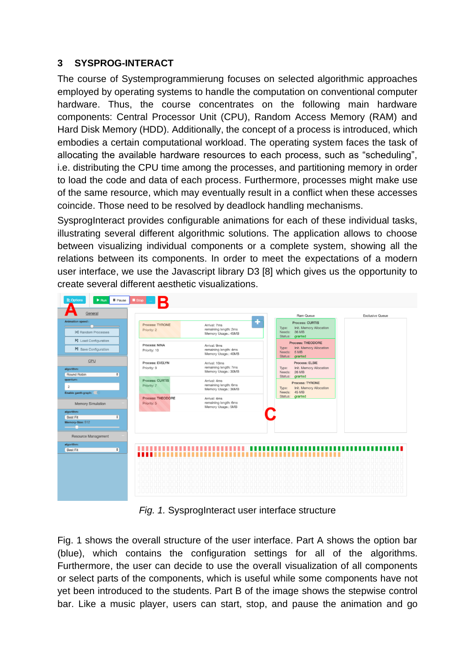### **3 SYSPROG-INTERACT**

The course of Systemprogrammierung focuses on selected algorithmic approaches employed by operating systems to handle the computation on conventional computer hardware. Thus, the course concentrates on the following main hardware components: Central Processor Unit (CPU), Random Access Memory (RAM) and Hard Disk Memory (HDD). Additionally, the concept of a process is introduced, which embodies a certain computational workload. The operating system faces the task of allocating the available hardware resources to each process, such as "scheduling", i.e. distributing the CPU time among the processes, and partitioning memory in order to load the code and data of each process. Furthermore, processes might make use of the same resource, which may eventually result in a conflict when these accesses coincide. Those need to be resolved by deadlock handling mechanisms.

SysprogInteract provides configurable animations for each of these individual tasks, illustrating several different algorithmic solutions. The application allows to choose between visualizing individual components or a complete system, showing all the relations between its components. In order to meet the expectations of a modern user interface, we use the Javascript library D3 [8] which gives us the opportunity to create several different aesthetic visualizations.



*Fig. 1.* SysprogInteract user interface structure

Fig. 1 shows the overall structure of the user interface. Part A shows the option bar (blue), which contains the configuration settings for all of the algorithms. Furthermore, the user can decide to use the overall visualization of all components or select parts of the components, which is useful while some components have not yet been introduced to the students. Part B of the image shows the stepwise control bar. Like a music player, users can start, stop, and pause the animation and go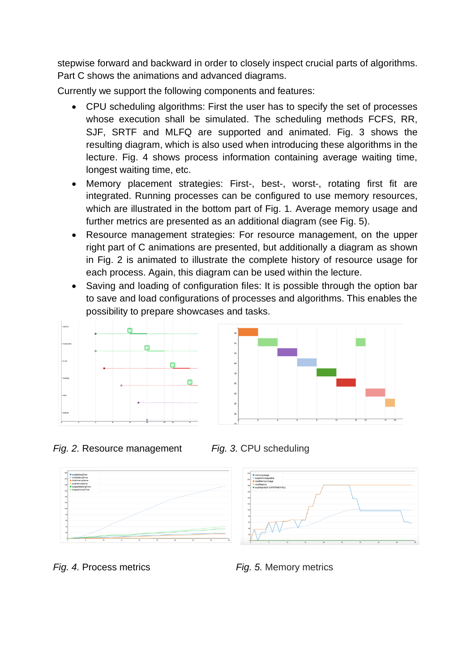stepwise forward and backward in order to closely inspect crucial parts of algorithms. Part C shows the animations and advanced diagrams.

Currently we support the following components and features:

- CPU scheduling algorithms: First the user has to specify the set of processes whose execution shall be simulated. The scheduling methods FCFS, RR, SJF, SRTF and MLFQ are supported and animated. Fig. 3 shows the resulting diagram, which is also used when introducing these algorithms in the lecture. Fig. 4 shows process information containing average waiting time, longest waiting time, etc.
- Memory placement strategies: First-, best-, worst-, rotating first fit are integrated. Running processes can be configured to use memory resources, which are illustrated in the bottom part of Fig. 1. Average memory usage and further metrics are presented as an additional diagram (see Fig. 5).
- Resource management strategies: For resource management, on the upper right part of C animations are presented, but additionally a diagram as shown in Fig. 2 is animated to illustrate the complete history of resource usage for each process. Again, this diagram can be used within the lecture.
- Saving and loading of configuration files: It is possible through the option bar to save and load configurations of processes and algorithms. This enables the possibility to prepare showcases and tasks.



*Fig. 2.* Resource management *Fig. 3.* CPU scheduling



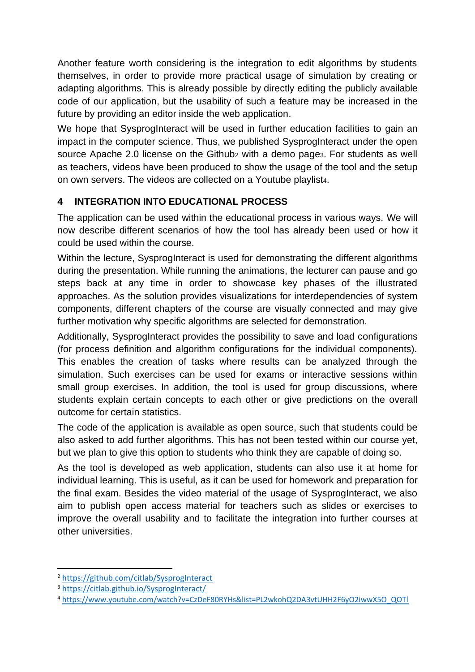Another feature worth considering is the integration to edit algorithms by students themselves, in order to provide more practical usage of simulation by creating or adapting algorithms. This is already possible by directly editing the publicly available code of our application, but the usability of such a feature may be increased in the future by providing an editor inside the web application.

We hope that SysprogInteract will be used in further education facilities to gain an impact in the computer science. Thus, we published SysprogInteract under the open source Apache 2.0 license on the Github<sub>2</sub> with a demo page<sub>3</sub>. For students as well as teachers, videos have been produced to show the usage of the tool and the setup on own servers. The videos are collected on a Youtube playlist4.

# **4 INTEGRATION INTO EDUCATIONAL PROCESS**

The application can be used within the educational process in various ways. We will now describe different scenarios of how the tool has already been used or how it could be used within the course.

Within the lecture, SysprogInteract is used for demonstrating the different algorithms during the presentation. While running the animations, the lecturer can pause and go steps back at any time in order to showcase key phases of the illustrated approaches. As the solution provides visualizations for interdependencies of system components, different chapters of the course are visually connected and may give further motivation why specific algorithms are selected for demonstration.

Additionally, SysprogInteract provides the possibility to save and load configurations (for process definition and algorithm configurations for the individual components). This enables the creation of tasks where results can be analyzed through the simulation. Such exercises can be used for exams or interactive sessions within small group exercises. In addition, the tool is used for group discussions, where students explain certain concepts to each other or give predictions on the overall outcome for certain statistics.

The code of the application is available as open source, such that students could be also asked to add further algorithms. This has not been tested within our course yet, but we plan to give this option to students who think they are capable of doing so.

As the tool is developed as web application, students can also use it at home for individual learning. This is useful, as it can be used for homework and preparation for the final exam. Besides the video material of the usage of SysprogInteract, we also aim to publish open access material for teachers such as slides or exercises to improve the overall usability and to facilitate the integration into further courses at other universities.

<sup>2</sup> <https://github.com/citlab/SysprogInteract>

<sup>3</sup> <https://citlab.github.io/SysprogInteract/>

<sup>4</sup> [https://www.youtube.com/watch?v=CzDeF80RYHs&list=PL2wkohQ2DA3vtUHH2F6yO2iwwX5O\\_QOTl](https://www.youtube.com/watch?v=CzDeF80RYHs&list=PL2wkohQ2DA3vtUHH2F6yO2iwwX5O_QOTl)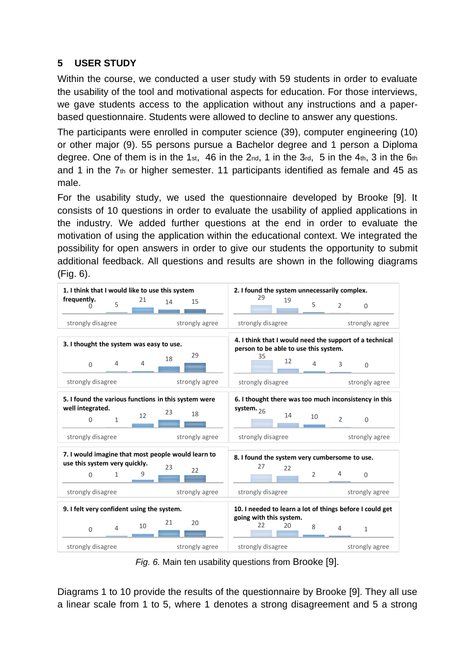### **5 USER STUDY**

Within the course, we conducted a user study with 59 students in order to evaluate the usability of the tool and motivational aspects for education. For those interviews, we gave students access to the application without any instructions and a paperbased questionnaire. Students were allowed to decline to answer any questions.

The participants were enrolled in computer science (39), computer engineering (10) or other major (9). 55 persons pursue a Bachelor degree and 1 person a Diploma degree. One of them is in the 1st, 46 in the  $2<sub>nd</sub>$ , 1 in the  $3<sub>rd</sub>$ , 5 in the  $4<sub>th</sub>$ , 3 in the  $6<sub>th</sub>$ and 1 in the  $7<sub>th</sub>$  or higher semester. 11 participants identified as female and 45 as male.

For the usability study, we used the questionnaire developed by Brooke [9]. It consists of 10 questions in order to evaluate the usability of applied applications in the industry. We added further questions at the end in order to evaluate the motivation of using the application within the educational context. We integrated the possibility for open answers in order to give our students the opportunity to submit additional feedback. All questions and results are shown in the following diagrams (Fig. 6).



*Fig. 6.* Main ten usability questions from Brooke [9].

Diagrams 1 to 10 provide the results of the questionnaire by Brooke [9]. They all use a linear scale from 1 to 5, where 1 denotes a strong disagreement and 5 a strong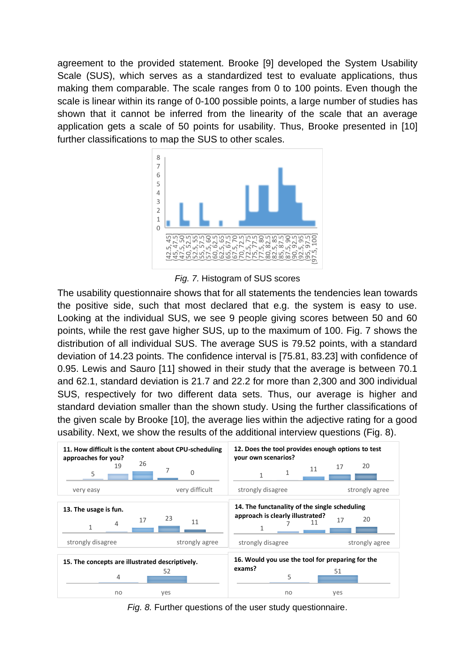agreement to the provided statement. Brooke [9] developed the System Usability Scale (SUS), which serves as a standardized test to evaluate applications, thus making them comparable. The scale ranges from 0 to 100 points. Even though the scale is linear within its range of 0-100 possible points, a large number of studies has shown that it cannot be inferred from the linearity of the scale that an average application gets a scale of 50 points for usability. Thus, Brooke presented in [10] further classifications to map the SUS to other scales.



*Fig. 7.* Histogram of SUS scores

The usability questionnaire shows that for all statements the tendencies lean towards the positive side, such that most declared that e.g. the system is easy to use. Looking at the individual SUS, we see 9 people giving scores between 50 and 60 points, while the rest gave higher SUS, up to the maximum of 100. Fig. 7 shows the distribution of all individual SUS. The average SUS is 79.52 points, with a standard deviation of 14.23 points. The confidence interval is [75.81, 83.23] with confidence of 0.95. Lewis and Sauro [11] showed in their study that the average is between 70.1 and 62.1, standard deviation is 21.7 and 22.2 for more than 2,300 and 300 individual SUS, respectively for two different data sets. Thus, our average is higher and standard deviation smaller than the shown study. Using the further classifications of the given scale by Brooke [10], the average lies within the adjective rating for a good usability. Next, we show the results of the additional interview questions (Fig. 8).



*Fig. 8.* Further questions of the user study questionnaire.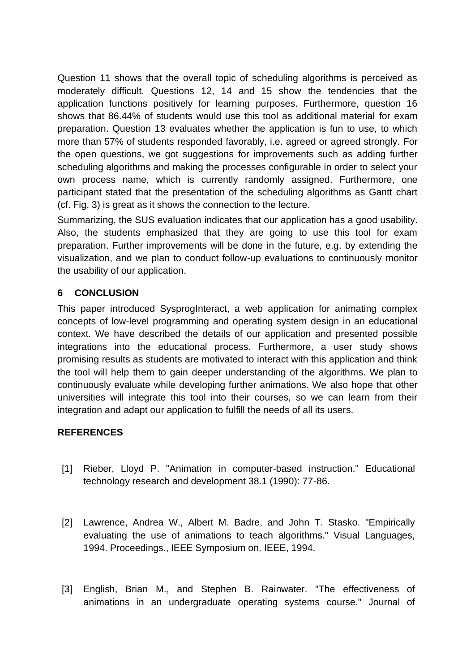Question 11 shows that the overall topic of scheduling algorithms is perceived as moderately difficult. Questions 12, 14 and 15 show the tendencies that the application functions positively for learning purposes. Furthermore, question 16 shows that 86.44% of students would use this tool as additional material for exam preparation. Question 13 evaluates whether the application is fun to use, to which more than 57% of students responded favorably, i.e. agreed or agreed strongly. For the open questions, we got suggestions for improvements such as adding further scheduling algorithms and making the processes configurable in order to select your own process name, which is currently randomly assigned. Furthermore, one participant stated that the presentation of the scheduling algorithms as Gantt chart (cf. Fig. 3) is great as it shows the connection to the lecture.

Summarizing, the SUS evaluation indicates that our application has a good usability. Also, the students emphasized that they are going to use this tool for exam preparation. Further improvements will be done in the future, e.g. by extending the visualization, and we plan to conduct follow-up evaluations to continuously monitor the usability of our application.

### **6 CONCLUSION**

This paper introduced SysprogInteract, a web application for animating complex concepts of low-level programming and operating system design in an educational context. We have described the details of our application and presented possible integrations into the educational process. Furthermore, a user study shows promising results as students are motivated to interact with this application and think the tool will help them to gain deeper understanding of the algorithms. We plan to continuously evaluate while developing further animations. We also hope that other universities will integrate this tool into their courses, so we can learn from their integration and adapt our application to fulfill the needs of all its users.

### **REFERENCES**

- [1] Rieber, Lloyd P. "Animation in computer-based instruction." Educational technology research and development 38.1 (1990): 77-86.
- [2] Lawrence, Andrea W., Albert M. Badre, and John T. Stasko. "Empirically evaluating the use of animations to teach algorithms." Visual Languages, 1994. Proceedings., IEEE Symposium on. IEEE, 1994.
- [3] English, Brian M., and Stephen B. Rainwater. "The effectiveness of animations in an undergraduate operating systems course." Journal of